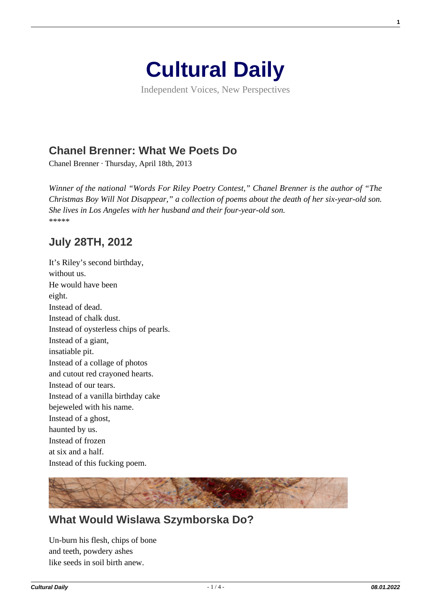

Independent Voices, New Perspectives

# **[Chanel Brenner: What We Poets Do](https://culturaldaily.com/what-we-poets-do/)**

Chanel Brenner · Thursday, April 18th, 2013

*Winner of the national "Words For Riley Poetry Contest," Chanel Brenner is the author of "The Christmas Boy Will Not Disappear," a collection of poems about the death of her six-year-old son. She lives in Los Angeles with her husband and their four-year-old son.* \*\*\*\*\*

# **July 28TH, 2012**

It's Riley's second birthday, without us. He would have been eight. Instead of dead. Instead of chalk dust. Instead of oysterless chips of pearls. Instead of a giant, insatiable pit. Instead of a collage of photos and cutout red crayoned hearts. Instead of our tears. Instead of a vanilla birthday cake bejeweled with his name. Instead of a ghost, haunted by us. Instead of frozen at six and a half. Instead of this fucking poem.



### **What Would Wislawa Szymborska Do?**

Un-burn his flesh, chips of bone and teeth, powdery ashes like seeds in soil birth anew.

**1**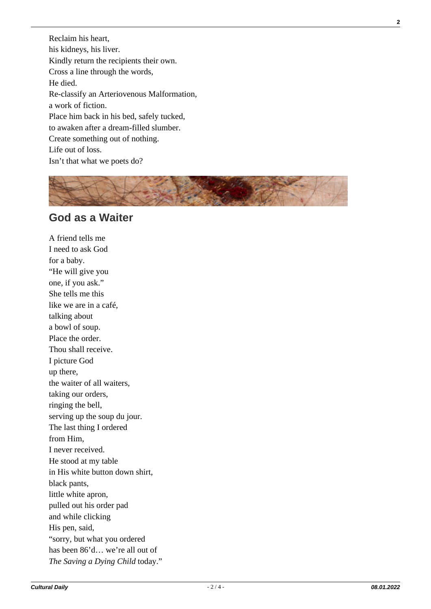Reclaim his heart, his kidneys, his liver. Kindly return the recipients their own. Cross a line through the words, He died. Re-classify an Arteriovenous Malformation, a work of fiction. Place him back in his bed, safely tucked, to awaken after a dream-filled slumber. Create something out of nothing. Life out of loss. Isn't that what we poets do?



#### **God as a Waiter**

A friend tells me I need to ask God for a baby. "He will give you one, if you ask." She tells me this like we are in a café, talking about a bowl of soup. Place the order. Thou shall receive. I picture God up there, the waiter of all waiters, taking our orders, ringing the bell, serving up the soup du jour. The last thing I ordered from Him, I never received. He stood at my table in His white button down shirt, black pants, little white apron, pulled out his order pad and while clicking His pen, said, "sorry, but what you ordered has been 86'd… we're all out of *The Saving a Dying Child* today."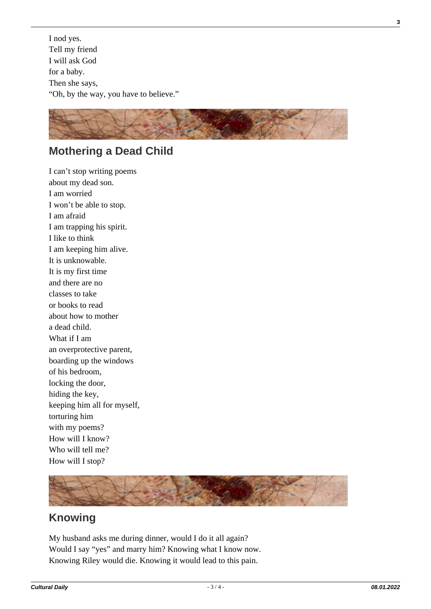I nod yes. Tell my friend I will ask God for a baby. Then she says, "Oh, by the way, you have to believe."



# **Mothering a Dead Child**

I can't stop writing poems about my dead son. I am worried I won't be able to stop. I am afraid I am trapping his spirit. I like to think I am keeping him alive. It is unknowable. It is my first time and there are no classes to take or books to read about how to mother a dead child. What if I am an overprotective parent, boarding up the windows of his bedroom, locking the door, hiding the key, keeping him all for myself, torturing him with my poems? How will I know? Who will tell me? How will I stop?



## **Knowing**

My husband asks me during dinner, would I do it all again? Would I say "yes" and marry him? Knowing what I know now. Knowing Riley would die. Knowing it would lead to this pain.